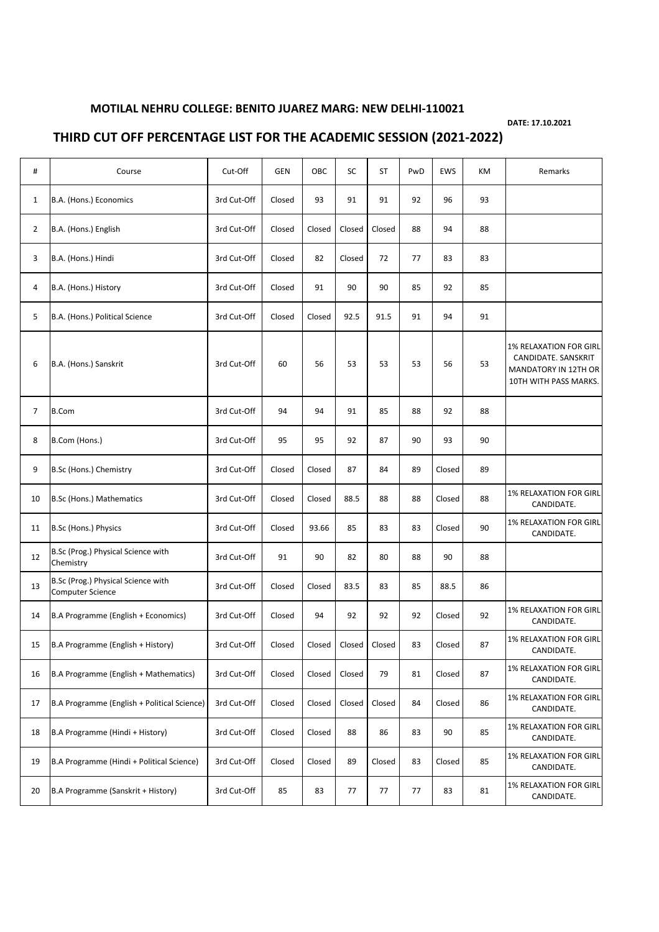## **MOTILAL NEHRU COLLEGE: BENITO JUAREZ MARG: NEW DELHI-110021**

**DATE: 17.10.2021**

## **THIRD CUT OFF PERCENTAGE LIST FOR THE ACADEMIC SESSION (2021-2022)**

| #              | Course                                                 | Cut-Off     | <b>GEN</b> | OBC    | SC     | <b>ST</b> | PwD | <b>EWS</b> | KM | Remarks                                                                                               |
|----------------|--------------------------------------------------------|-------------|------------|--------|--------|-----------|-----|------------|----|-------------------------------------------------------------------------------------------------------|
| $\mathbf{1}$   | B.A. (Hons.) Economics                                 | 3rd Cut-Off | Closed     | 93     | 91     | 91        | 92  | 96         | 93 |                                                                                                       |
| $\overline{2}$ | B.A. (Hons.) English                                   | 3rd Cut-Off | Closed     | Closed | Closed | Closed    | 88  | 94         | 88 |                                                                                                       |
| 3              | B.A. (Hons.) Hindi                                     | 3rd Cut-Off | Closed     | 82     | Closed | 72        | 77  | 83         | 83 |                                                                                                       |
| 4              | B.A. (Hons.) History                                   | 3rd Cut-Off | Closed     | 91     | 90     | 90        | 85  | 92         | 85 |                                                                                                       |
| 5              | B.A. (Hons.) Political Science                         | 3rd Cut-Off | Closed     | Closed | 92.5   | 91.5      | 91  | 94         | 91 |                                                                                                       |
| 6              | B.A. (Hons.) Sanskrit                                  | 3rd Cut-Off | 60         | 56     | 53     | 53        | 53  | 56         | 53 | <b>1% RELAXATION FOR GIRL</b><br>CANDIDATE. SANSKRIT<br>MANDATORY IN 12TH OR<br>10TH WITH PASS MARKS. |
| 7              | <b>B.Com</b>                                           | 3rd Cut-Off | 94         | 94     | 91     | 85        | 88  | 92         | 88 |                                                                                                       |
| 8              | B.Com (Hons.)                                          | 3rd Cut-Off | 95         | 95     | 92     | 87        | 90  | 93         | 90 |                                                                                                       |
| 9              | B.Sc (Hons.) Chemistry                                 | 3rd Cut-Off | Closed     | Closed | 87     | 84        | 89  | Closed     | 89 |                                                                                                       |
| 10             | B.Sc (Hons.) Mathematics                               | 3rd Cut-Off | Closed     | Closed | 88.5   | 88        | 88  | Closed     | 88 | <b>1% RELAXATION FOR GIRL</b><br>CANDIDATE.                                                           |
| 11             | B.Sc (Hons.) Physics                                   | 3rd Cut-Off | Closed     | 93.66  | 85     | 83        | 83  | Closed     | 90 | <b>1% RELAXATION FOR GIRL</b><br>CANDIDATE.                                                           |
| 12             | B.Sc (Prog.) Physical Science with<br>Chemistry        | 3rd Cut-Off | 91         | 90     | 82     | 80        | 88  | 90         | 88 |                                                                                                       |
| 13             | B.Sc (Prog.) Physical Science with<br>Computer Science | 3rd Cut-Off | Closed     | Closed | 83.5   | 83        | 85  | 88.5       | 86 |                                                                                                       |
| 14             | B.A Programme (English + Economics)                    | 3rd Cut-Off | Closed     | 94     | 92     | 92        | 92  | Closed     | 92 | <b>1% RELAXATION FOR GIRL</b><br>CANDIDATE.                                                           |
| 15             | B.A Programme (English + History)                      | 3rd Cut-Off | Closed     | Closed | Closed | Closed    | 83  | Closed     | 87 | 1% RELAXATION FOR GIRL<br>CANDIDATE.                                                                  |
| 16             | B.A Programme (English + Mathematics)                  | 3rd Cut-Off | Closed     | Closed | Closed | 79        | 81  | Closed     | 87 | <b>1% RELAXATION FOR GIRL</b><br>CANDIDATE.                                                           |
| 17             | B.A Programme (English + Political Science)            | 3rd Cut-Off | Closed     | Closed | Closed | Closed    | 84  | Closed     | 86 | <b>1% RELAXATION FOR GIRL</b><br>CANDIDATE.                                                           |
| 18             | B.A Programme (Hindi + History)                        | 3rd Cut-Off | Closed     | Closed | 88     | 86        | 83  | 90         | 85 | 1% RELAXATION FOR GIRL<br>CANDIDATE.                                                                  |
| 19             | B.A Programme (Hindi + Political Science)              | 3rd Cut-Off | Closed     | Closed | 89     | Closed    | 83  | Closed     | 85 | 1% RELAXATION FOR GIRL<br>CANDIDATE.                                                                  |
| 20             | B.A Programme (Sanskrit + History)                     | 3rd Cut-Off | 85         | 83     | 77     | 77        | 77  | 83         | 81 | <b>1% RELAXATION FOR GIRL</b><br>CANDIDATE.                                                           |